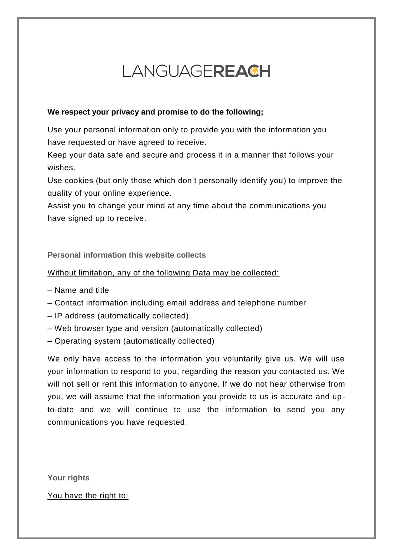# LANGUAGEREACH

## **We respect your privacy and promise to do the following;**

Use your personal information only to provide you with the information you have requested or have agreed to receive.

Keep your data safe and secure and process it in a manner that follows your wishes.

Use cookies (but only those which don't personally identify you) to improve the quality of your online experience.

Assist you to change your mind at any time about the communications you have signed up to receive.

## **Personal information this website collects**

## Without limitation, any of the following Data may be collected:

- Name and title
- Contact information including email address and telephone number
- IP address (automatically collected)
- Web browser type and version (automatically collected)
- Operating system (automatically collected)

We only have access to the information you voluntarily give us. We will use your information to respond to you, regarding the reason you contacted us. We will not sell or rent this information to anyone. If we do not hear otherwise from you, we will assume that the information you provide to us is accurate and upto-date and we will continue to use the information to send you any communications you have requested.

**Your rights**

You have the right to: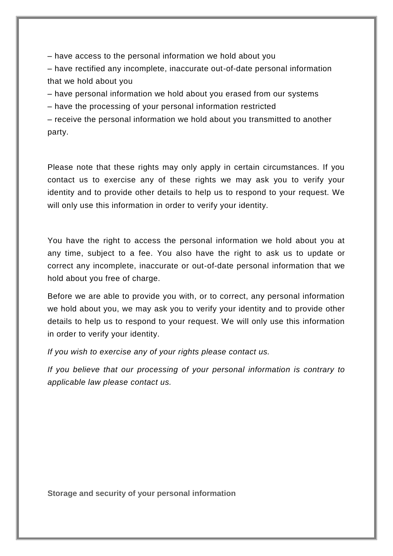– have access to the personal information we hold about you

– have rectified any incomplete, inaccurate out-of-date personal information that we hold about you

– have personal information we hold about you erased from our systems

– have the processing of your personal information restricted

– receive the personal information we hold about you transmitted to another party.

Please note that these rights may only apply in certain circumstances. If you contact us to exercise any of these rights we may ask you to verify your identity and to provide other details to help us to respond to your request. We will only use this information in order to verify your identity.

You have the right to access the personal information we hold about you at any time, subject to a fee. You also have the right to ask us to update or correct any incomplete, inaccurate or out-of-date personal information that we hold about you free of charge.

Before we are able to provide you with, or to correct, any personal information we hold about you, we may ask you to verify your identity and to provide other details to help us to respond to your request. We will only use this information in order to verify your identity.

*If you wish to exercise any of your rights please contact us.*

*If you believe that our processing of your personal information is contrary to applicable law please contact us.*

**Storage and security of your personal information**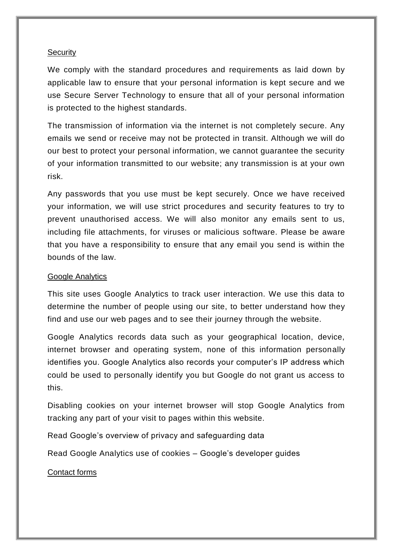### **Security**

We comply with the standard procedures and requirements as laid down by applicable law to ensure that your personal information is kept secure and we use Secure Server Technology to ensure that all of your personal information is protected to the highest standards.

The transmission of information via the internet is not completely secure. Any emails we send or receive may not be protected in transit. Although we will do our best to protect your personal information, we cannot guarantee the security of your information transmitted to our website; any transmission is at your own risk.

Any passwords that you use must be kept securely. Once we have received your information, we will use strict procedures and security features to try to prevent unauthorised access. We will also monitor any emails sent to us, including file attachments, for viruses or malicious software. Please be aware that you have a responsibility to ensure that any email you send is within the bounds of the law.

### Google Analytics

This site uses Google Analytics to track user interaction. We use this data to determine the number of people using our site, to better understand how they find and use our web pages and to see their journey through the website.

Google Analytics records data such as your geographical location, device, internet browser and operating system, none of this information personally identifies you. Google Analytics also records your computer's IP address which could be used to personally identify you but Google do not grant us access to this.

Disabling cookies on your internet browser will stop Google Analytics from tracking any part of your visit to pages within this website.

Read [Google's overview of privacy and safeguarding data](https://support.google.com/analytics/answer/6004245?hl=en)

Read Google Analytics use of cookies – [Google's developer guides](https://developers.google.com/analytics/devguides/collection/analyticsjs/cookie-usage)

Contact forms